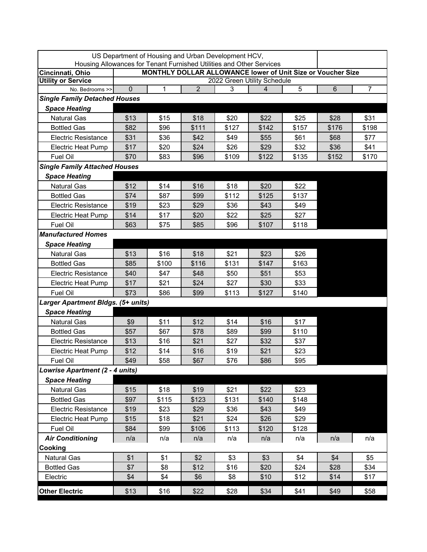|                                        |                                                                                                                                     | US Department of Housing and Urban Development HCV, |                |       |       |       |                |                |  |  |  |
|----------------------------------------|-------------------------------------------------------------------------------------------------------------------------------------|-----------------------------------------------------|----------------|-------|-------|-------|----------------|----------------|--|--|--|
| Cincinnati, Ohio                       | Housing Allowances for Tenant Furnished Utilities and Other Services<br>MONTHLY DOLLAR ALLOWANCE lower of Unit Size or Voucher Size |                                                     |                |       |       |       |                |                |  |  |  |
| <b>Utility or Service</b>              | 2022 Green Utility Schedule                                                                                                         |                                                     |                |       |       |       |                |                |  |  |  |
| No. Bedrooms >>                        | 0                                                                                                                                   | 1                                                   | $\overline{2}$ | 3     | 4     | 5     | $6\phantom{1}$ | $\overline{7}$ |  |  |  |
| <b>Single Family Detached Houses</b>   |                                                                                                                                     |                                                     |                |       |       |       |                |                |  |  |  |
| <b>Space Heating</b>                   |                                                                                                                                     |                                                     |                |       |       |       |                |                |  |  |  |
| <b>Natural Gas</b>                     | \$13                                                                                                                                | \$15                                                | \$18           | \$20  | \$22  | \$25  | \$28           | \$31           |  |  |  |
| <b>Bottled Gas</b>                     | \$82                                                                                                                                | \$96                                                | \$111          | \$127 | \$142 | \$157 | \$176          | \$198          |  |  |  |
| <b>Electric Resistance</b>             | \$31                                                                                                                                | \$36                                                | \$42           | \$49  | \$55  | \$61  | \$68           | \$77           |  |  |  |
| <b>Electric Heat Pump</b>              | \$17                                                                                                                                | \$20                                                | \$24           | \$26  | \$29  | \$32  | \$36           | \$41           |  |  |  |
| Fuel Oil                               | \$70                                                                                                                                | \$83                                                | \$96           | \$109 | \$122 | \$135 | \$152          | \$170          |  |  |  |
| <b>Single Family Attached Houses</b>   |                                                                                                                                     |                                                     |                |       |       |       |                |                |  |  |  |
| <b>Space Heating</b>                   |                                                                                                                                     |                                                     |                |       |       |       |                |                |  |  |  |
| <b>Natural Gas</b>                     | \$12                                                                                                                                | \$14                                                | \$16           | \$18  | \$20  | \$22  |                |                |  |  |  |
| <b>Bottled Gas</b>                     | \$74                                                                                                                                | \$87                                                | \$99           | \$112 | \$125 | \$137 |                |                |  |  |  |
| <b>Electric Resistance</b>             | \$19                                                                                                                                | \$23                                                | \$29           | \$36  | \$43  | \$49  |                |                |  |  |  |
| <b>Electric Heat Pump</b>              | \$14                                                                                                                                | \$17                                                | \$20           | \$22  | \$25  | \$27  |                |                |  |  |  |
| Fuel Oil                               | \$63                                                                                                                                | \$75                                                | \$85           | \$96  | \$107 | \$118 |                |                |  |  |  |
| <b>Manufactured Homes</b>              |                                                                                                                                     |                                                     |                |       |       |       |                |                |  |  |  |
| <b>Space Heating</b>                   |                                                                                                                                     |                                                     |                |       |       |       |                |                |  |  |  |
| <b>Natural Gas</b>                     | \$13                                                                                                                                | \$16                                                | \$18           | \$21  | \$23  | \$26  |                |                |  |  |  |
| <b>Bottled Gas</b>                     | \$85                                                                                                                                | \$100                                               | \$116          | \$131 | \$147 | \$163 |                |                |  |  |  |
| <b>Electric Resistance</b>             | \$40                                                                                                                                | \$47                                                | \$48           | \$50  | \$51  | \$53  |                |                |  |  |  |
| <b>Electric Heat Pump</b>              | \$17                                                                                                                                | \$21                                                | \$24           | \$27  | \$30  | \$33  |                |                |  |  |  |
| Fuel Oil                               | \$73                                                                                                                                | \$86                                                | \$99           | \$113 | \$127 | \$140 |                |                |  |  |  |
| Larger Apartment Bldgs. (5+ units)     |                                                                                                                                     |                                                     |                |       |       |       |                |                |  |  |  |
| <b>Space Heating</b>                   |                                                                                                                                     |                                                     |                |       |       |       |                |                |  |  |  |
| <b>Natural Gas</b>                     | \$9                                                                                                                                 | \$11                                                | \$12           | \$14  | \$16  | \$17  |                |                |  |  |  |
| <b>Bottled Gas</b>                     | \$57                                                                                                                                | \$67                                                | \$78           | \$89  | \$99  | \$110 |                |                |  |  |  |
| <b>Electric Resistance</b>             | \$13                                                                                                                                | \$16                                                | \$21           | \$27  | \$32  | \$37  |                |                |  |  |  |
| <b>Electric Heat Pump</b>              | \$12                                                                                                                                | \$14                                                | \$16           | \$19  | \$21  | \$23  |                |                |  |  |  |
| Fuel Oil                               | \$49                                                                                                                                | \$58                                                | \$67           | \$76  | \$86  | \$95  |                |                |  |  |  |
| <b>Lowrise Apartment (2 - 4 units)</b> |                                                                                                                                     |                                                     |                |       |       |       |                |                |  |  |  |
| <b>Space Heating</b>                   |                                                                                                                                     |                                                     |                |       |       |       |                |                |  |  |  |
| Natural Gas                            | \$15                                                                                                                                | \$18                                                | \$19           | \$21  | \$22  | \$23  |                |                |  |  |  |
| <b>Bottled Gas</b>                     | \$97                                                                                                                                | \$115                                               | \$123          | \$131 | \$140 | \$148 |                |                |  |  |  |
| <b>Electric Resistance</b>             | \$19                                                                                                                                | \$23                                                | \$29           | \$36  | \$43  | \$49  |                |                |  |  |  |
| <b>Electric Heat Pump</b>              | \$15                                                                                                                                | \$18                                                | \$21           | \$24  | \$26  | \$29  |                |                |  |  |  |
| Fuel Oil                               | \$84                                                                                                                                | \$99                                                | \$106          | \$113 | \$120 | \$128 |                |                |  |  |  |
| <b>Air Conditioning</b>                | n/a                                                                                                                                 | n/a                                                 | n/a            | n/a   | n/a   | n/a   | n/a            | n/a            |  |  |  |
| Cooking                                |                                                                                                                                     |                                                     |                |       |       |       |                |                |  |  |  |
| Natural Gas                            | \$1                                                                                                                                 | \$1                                                 | \$2            | \$3   | \$3   | \$4   | \$4            | \$5            |  |  |  |
| <b>Bottled Gas</b>                     | \$7                                                                                                                                 | \$8                                                 | \$12           | \$16  | \$20  | \$24  | \$28           | \$34           |  |  |  |
| Electric                               | \$4                                                                                                                                 | \$4                                                 | \$6            | \$8   | \$10  | \$12  | \$14           | \$17           |  |  |  |
| <b>Other Electric</b>                  | \$13                                                                                                                                | \$16                                                | \$22           | \$28  | \$34  | \$41  | \$49           | \$58           |  |  |  |